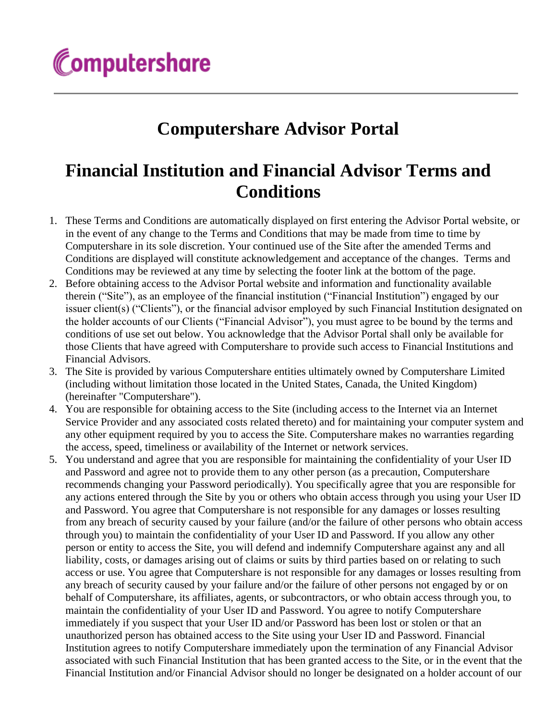## **Computershare Advisor Portal**

## **Financial Institution and Financial Advisor Terms and Conditions**

- 1. These Terms and Conditions are automatically displayed on first entering the Advisor Portal website, or in the event of any change to the Terms and Conditions that may be made from time to time by Computershare in its sole discretion. Your continued use of the Site after the amended Terms and Conditions are displayed will constitute acknowledgement and acceptance of the changes. Terms and Conditions may be reviewed at any time by selecting the footer link at the bottom of the page.
- 2. Before obtaining access to the Advisor Portal website and information and functionality available therein ("Site"), as an employee of the financial institution ("Financial Institution") engaged by our issuer client(s) ("Clients"), or the financial advisor employed by such Financial Institution designated on the holder accounts of our Clients ("Financial Advisor"), you must agree to be bound by the terms and conditions of use set out below. You acknowledge that the Advisor Portal shall only be available for those Clients that have agreed with Computershare to provide such access to Financial Institutions and Financial Advisors.
- 3. The Site is provided by various Computershare entities ultimately owned by Computershare Limited (including without limitation those located in the United States, Canada, the United Kingdom) (hereinafter "Computershare").
- 4. You are responsible for obtaining access to the Site (including access to the Internet via an Internet Service Provider and any associated costs related thereto) and for maintaining your computer system and any other equipment required by you to access the Site. Computershare makes no warranties regarding the access, speed, timeliness or availability of the Internet or network services.
- 5. You understand and agree that you are responsible for maintaining the confidentiality of your User ID and Password and agree not to provide them to any other person (as a precaution, Computershare recommends changing your Password periodically). You specifically agree that you are responsible for any actions entered through the Site by you or others who obtain access through you using your User ID and Password. You agree that Computershare is not responsible for any damages or losses resulting from any breach of security caused by your failure (and/or the failure of other persons who obtain access through you) to maintain the confidentiality of your User ID and Password. If you allow any other person or entity to access the Site, you will defend and indemnify Computershare against any and all liability, costs, or damages arising out of claims or suits by third parties based on or relating to such access or use. You agree that Computershare is not responsible for any damages or losses resulting from any breach of security caused by your failure and/or the failure of other persons not engaged by or on behalf of Computershare, its affiliates, agents, or subcontractors, or who obtain access through you, to maintain the confidentiality of your User ID and Password. You agree to notify Computershare immediately if you suspect that your User ID and/or Password has been lost or stolen or that an unauthorized person has obtained access to the Site using your User ID and Password. Financial Institution agrees to notify Computershare immediately upon the termination of any Financial Advisor associated with such Financial Institution that has been granted access to the Site, or in the event that the Financial Institution and/or Financial Advisor should no longer be designated on a holder account of our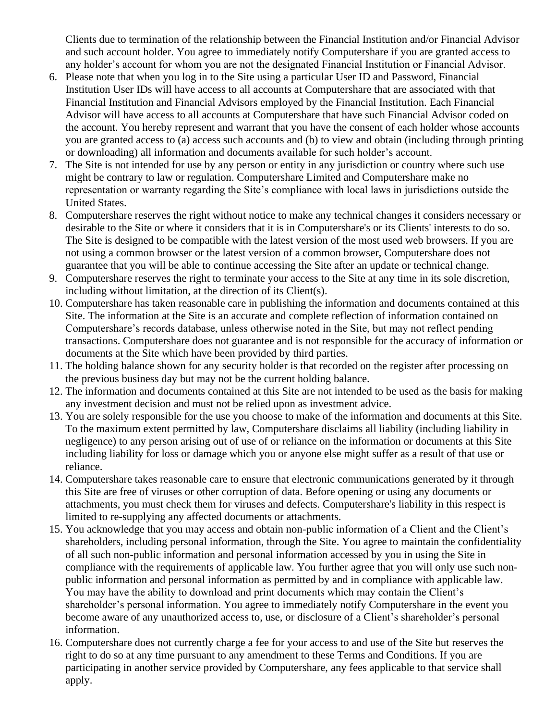Clients due to termination of the relationship between the Financial Institution and/or Financial Advisor and such account holder. You agree to immediately notify Computershare if you are granted access to any holder's account for whom you are not the designated Financial Institution or Financial Advisor.

- 6. Please note that when you log in to the Site using a particular User ID and Password, Financial Institution User IDs will have access to all accounts at Computershare that are associated with that Financial Institution and Financial Advisors employed by the Financial Institution. Each Financial Advisor will have access to all accounts at Computershare that have such Financial Advisor coded on the account. You hereby represent and warrant that you have the consent of each holder whose accounts you are granted access to (a) access such accounts and (b) to view and obtain (including through printing or downloading) all information and documents available for such holder's account.
- 7. The Site is not intended for use by any person or entity in any jurisdiction or country where such use might be contrary to law or regulation. Computershare Limited and Computershare make no representation or warranty regarding the Site's compliance with local laws in jurisdictions outside the United States.
- 8. Computershare reserves the right without notice to make any technical changes it considers necessary or desirable to the Site or where it considers that it is in Computershare's or its Clients' interests to do so. The Site is designed to be compatible with the latest version of the most used web browsers. If you are not using a common browser or the latest version of a common browser, Computershare does not guarantee that you will be able to continue accessing the Site after an update or technical change.
- 9. Computershare reserves the right to terminate your access to the Site at any time in its sole discretion, including without limitation, at the direction of its Client(s).
- 10. Computershare has taken reasonable care in publishing the information and documents contained at this Site. The information at the Site is an accurate and complete reflection of information contained on Computershare's records database, unless otherwise noted in the Site, but may not reflect pending transactions. Computershare does not guarantee and is not responsible for the accuracy of information or documents at the Site which have been provided by third parties.
- 11. The holding balance shown for any security holder is that recorded on the register after processing on the previous business day but may not be the current holding balance.
- 12. The information and documents contained at this Site are not intended to be used as the basis for making any investment decision and must not be relied upon as investment advice.
- 13. You are solely responsible for the use you choose to make of the information and documents at this Site. To the maximum extent permitted by law, Computershare disclaims all liability (including liability in negligence) to any person arising out of use of or reliance on the information or documents at this Site including liability for loss or damage which you or anyone else might suffer as a result of that use or reliance.
- 14. Computershare takes reasonable care to ensure that electronic communications generated by it through this Site are free of viruses or other corruption of data. Before opening or using any documents or attachments, you must check them for viruses and defects. Computershare's liability in this respect is limited to re-supplying any affected documents or attachments.
- 15. You acknowledge that you may access and obtain non-public information of a Client and the Client's shareholders, including personal information, through the Site. You agree to maintain the confidentiality of all such non-public information and personal information accessed by you in using the Site in compliance with the requirements of applicable law. You further agree that you will only use such nonpublic information and personal information as permitted by and in compliance with applicable law. You may have the ability to download and print documents which may contain the Client's shareholder's personal information. You agree to immediately notify Computershare in the event you become aware of any unauthorized access to, use, or disclosure of a Client's shareholder's personal information.
- 16. Computershare does not currently charge a fee for your access to and use of the Site but reserves the right to do so at any time pursuant to any amendment to these Terms and Conditions. If you are participating in another service provided by Computershare, any fees applicable to that service shall apply.